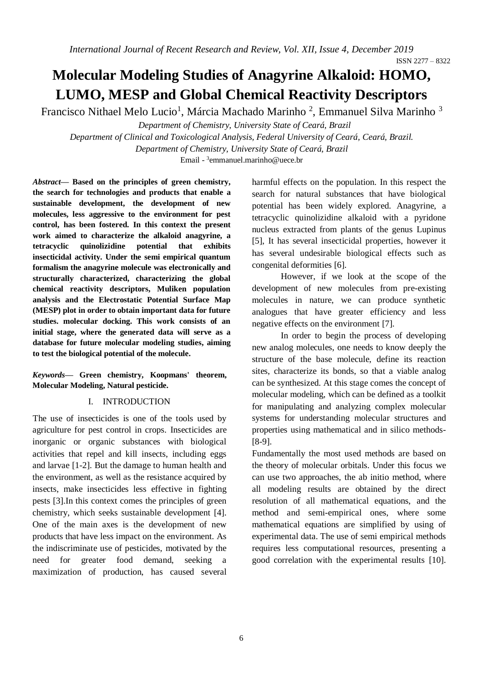# **Molecular Modeling Studies of Anagyrine Alkaloid: HOMO, LUMO, MESP and Global Chemical Reactivity Descriptors**

Francisco Nithael Melo Lucio<sup>1</sup>, Márcia Machado Marinho<sup>2</sup>, Emmanuel Silva Marinho<sup>3</sup>

*Department of Chemistry, University State of Ceará, Brazil Department of Clinical and Toxicological Analysis, Federal University of Ceará, Ceará, Brazil. Department of Chemistry, University State of Ceará, Brazil*

Email - 3 emmanuel.marinho@uece.br

*Abstract***— Based on the principles of green chemistry, the search for technologies and products that enable a sustainable development, the development of new molecules, less aggressive to the environment for pest control, has been fostered. In this context the present work aimed to characterize the alkaloid anagyrine, a tetracyclic quinolizidine potential that exhibits insecticidal activity. Under the semi empirical quantum formalism the anagyrine molecule was electronically and structurally characterized, characterizing the global chemical reactivity descriptors, Muliken population analysis and the Electrostatic Potential Surface Map (MESP) plot in order to obtain important data for future studies. molecular docking. This work consists of an initial stage, where the generated data will serve as a database for future molecular modeling studies, aiming to test the biological potential of the molecule.**

# *Keywords***— Green chemistry, Koopmans' theorem, Molecular Modeling, Natural pesticide.**

# I. INTRODUCTION

The use of insecticides is one of the tools used by agriculture for pest control in crops. Insecticides are inorganic or organic substances with biological activities that repel and kill insects, including eggs and larvae [1-2]. But the damage to human health and the environment, as well as the resistance acquired by insects, make insecticides less effective in fighting pests [3].In this context comes the principles of green chemistry, which seeks sustainable development [4]. One of the main axes is the development of new products that have less impact on the environment. As the indiscriminate use of pesticides, motivated by the need for greater food demand, seeking a maximization of production, has caused several

harmful effects on the population. In this respect the search for natural substances that have biological potential has been widely explored. Anagyrine, a tetracyclic quinolizidine alkaloid with a pyridone nucleus extracted from plants of the genus Lupinus [5], It has several insecticidal properties, however it has several undesirable biological effects such as congenital deformities [6].

However, if we look at the scope of the development of new molecules from pre-existing molecules in nature, we can produce synthetic analogues that have greater efficiency and less negative effects on the environment [7].

In order to begin the process of developing new analog molecules, one needs to know deeply the structure of the base molecule, define its reaction sites, characterize its bonds, so that a viable analog can be synthesized. At this stage comes the concept of molecular modeling, which can be defined as a toolkit for manipulating and analyzing complex molecular systems for understanding molecular structures and properties using mathematical and in silico methods- [8-9].

Fundamentally the most used methods are based on the theory of molecular orbitals. Under this focus we can use two approaches, the ab initio method, where all modeling results are obtained by the direct resolution of all mathematical equations, and the method and semi-empirical ones, where some mathematical equations are simplified by using of experimental data. The use of semi empirical methods requires less computational resources, presenting a good correlation with the experimental results [10].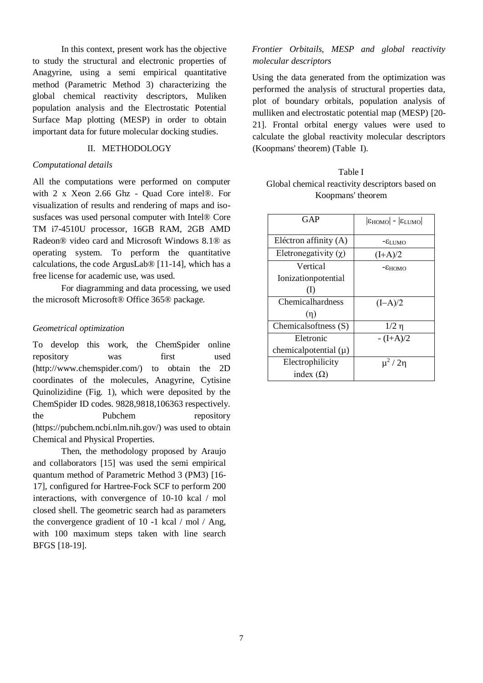In this context, present work has the objective to study the structural and electronic properties of Anagyrine, using a semi empirical quantitative method (Parametric Method 3) characterizing the global chemical reactivity descriptors, Muliken population analysis and the Electrostatic Potential Surface Map plotting (MESP) in order to obtain important data for future molecular docking studies.

### II. METHODOLOGY

## *Computational details*

All the computations were performed on computer with 2 x Xeon 2.66 Ghz - Quad Core intel®. For visualization of results and rendering of maps and isosusfaces was used personal computer with Intel® Core TM i7-4510U processor, 16GB RAM, 2GB AMD Radeon® video card and Microsoft Windows 8.1® as operating system. To perform the quantitative calculations, the code ArgusLab® [11-14], which has a free license for academic use, was used.

For diagramming and data processing, we used the microsoft Microsoft® Office 365® package.

#### *Geometrical optimization*

To develop this work, the ChemSpider online repository was first used (http://www.chemspider.com/) to obtain the 2D coordinates of the molecules, Anagyrine, Cytisine Quinolizidine (Fig. 1), which were deposited by the ChemSpider ID codes. 9828,9818,106363 respectively. the Pubchem repository (https://pubchem.ncbi.nlm.nih.gov/) was used to obtain Chemical and Physical Properties.

Then, the methodology proposed by Araujo and collaborators [15] was used the semi empirical quantum method of Parametric Method 3 (PM3) [16- 17], configured for Hartree-Fock SCF to perform 200 interactions, with convergence of 10-10 kcal / mol closed shell. The geometric search had as parameters the convergence gradient of 10 -1 kcal / mol / Ang, with 100 maximum steps taken with line search BFGS [18-19].

# *Frontier Orbitails, MESP and global reactivity molecular descriptors*

Using the data generated from the optimization was performed the analysis of structural properties data, plot of boundary orbitals, population analysis of mulliken and electrostatic potential map (MESP) [20- 21]. Frontal orbital energy values were used to calculate the global reactivity molecular descriptors (Koopmans' theorem) (Table I).

| Table I                                         |
|-------------------------------------------------|
| Global chemical reactivity descriptors based on |
| Koopmans' theorem                               |

| GAP                         | $ \epsilon_{HOMO} $ - $ \epsilon_{LUMO} $ |
|-----------------------------|-------------------------------------------|
| Eléctron affinity (A)       | $ \epsilon$ limo                          |
| Eletronegativity $(\gamma)$ | $(I+A)/2$                                 |
| Vertical                    | $ E$ HOMO                                 |
| Ionizationpotential         |                                           |
| (I)                         |                                           |
| Chemicalhardness            | $(I-A)/2$                                 |
| (n)                         |                                           |
| Chemicalsoftness (S)        | $1/2 \eta$                                |
| Eletronic                   | $-(I+A)/2$                                |
| chemical potential $(\mu)$  |                                           |
| Electrophilicity            | $\mu^2/2\eta$                             |
| index $(\Omega)$            |                                           |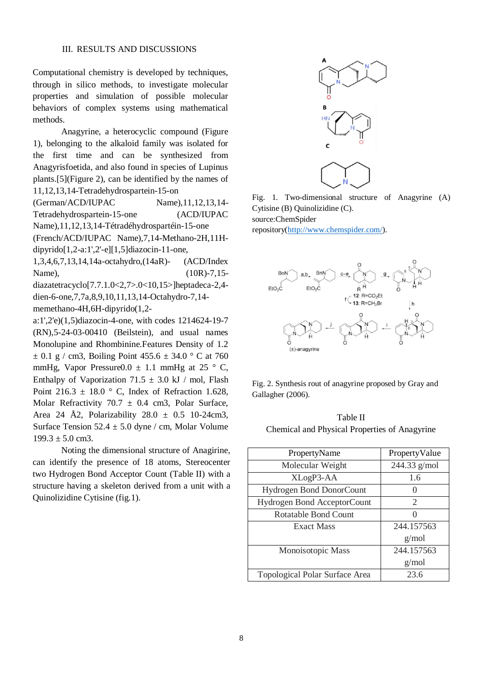Computational chemistry is developed by techniques, through in silico methods, to investigate molecular properties and simulation of possible molecular behaviors of complex systems using mathematical methods.

Anagyrine, a heterocyclic compound (Figure 1), belonging to the alkaloid family was isolated for the first time and can be synthesized from Anagyrisfoetida, and also found in species of Lupinus plants.[5](Figure 2), can be identified by the names of 11,12,13,14-Tetradehydrospartein-15-on

(German/ACD/IUPAC Name),11,12,13,14- Tetradehydrospartein-15-one (ACD/IUPAC Name),11,12,13,14-Tétradéhydrospartéin-15-one (French/ACD/IUPAC Name),7,14-Methano-2H,11H-

dipyrido[1,2-a:1',2'-e][1,5]diazocin-11-one, 1,3,4,6,7,13,14,14a-octahydro,(14aR)- (ACD/Index

Name), (10R)-7,15diazatetracyclo[7.7.1.0<2,7>.0<10,15>]heptadeca-2,4 dien-6-one,7,7a,8,9,10,11,13,14-Octahydro-7,14 memethano-4H,6H-dipyrido(1,2-

a:1',2'e)(1,5)diazocin-4-one, with codes 1214624-19-7 (RN),5-24-03-00410 (Beilstein), and usual names Monolupine and Rhombinine.Features Density of 1.2  $\pm$  0.1 g / cm3, Boiling Point 455.6  $\pm$  34.0 ° C at 760 mmHg, Vapor Pressure0.0  $\pm$  1.1 mmHg at 25  $\degree$  C, Enthalpy of Vaporization 71.5  $\pm$  3.0 kJ / mol, Flash Point 216.3  $\pm$  18.0 ° C, Index of Refraction 1.628, Molar Refractivity 70.7  $\pm$  0.4 cm3, Polar Surface, Area 24 Å2, Polarizability  $28.0 \pm 0.5$  10-24cm3, Surface Tension  $52.4 \pm 5.0$  dyne / cm, Molar Volume  $199.3 \pm 5.0$  cm3.

Noting the dimensional structure of Anagirine, can identify the presence of 18 atoms, Stereocenter two Hydrogen Bond Acceptor Count (Table II) with a structure having a skeleton derived from a unit with a Quinolizidine Cytisine (fig.1).



Fig. 1. Two-dimensional structure of Anagyrine (A) Cytisine (B) Quinolizidine (C). source:ChemSpider repository[\(http://www.chemspider.com/\)](http://www.chemspider.com/).



Fig. 2. Synthesis rout of anagyrine proposed by Gray and Gallagher (2006).

Table II Chemical and Physical Properties of Anagyrine

| PropertyName                    | PropertyValue    |
|---------------------------------|------------------|
| Molecular Weight                | $244.33$ g/mol   |
| XLogP3-AA                       | 1.6              |
| <b>Hydrogen Bond DonorCount</b> | 0                |
| Hydrogen Bond AcceptorCount     | 2                |
| Rotatable Bond Count            | $\left( \right)$ |
| Exact Mass                      | 244.157563       |
|                                 | g/mol            |
| Monoisotopic Mass               | 244.157563       |
|                                 | g/mol            |
| Topological Polar Surface Area  | 23.6             |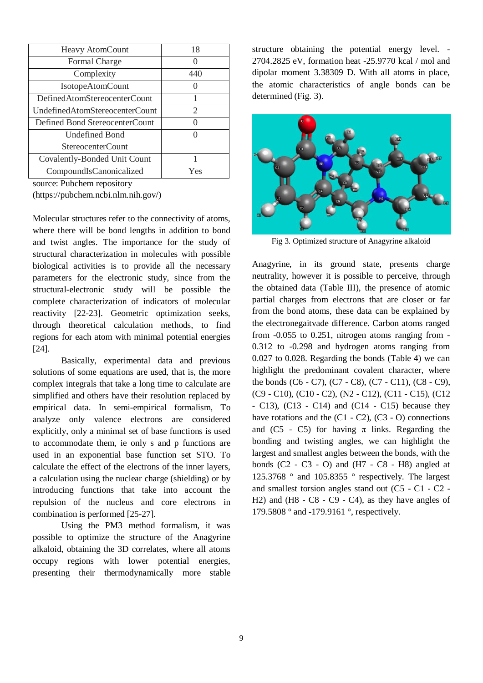| Heavy AtomCount                | 18       |
|--------------------------------|----------|
| <b>Formal Charge</b>           |          |
| Complexity                     | 440      |
| <b>IsotopeAtomCount</b>        |          |
| DefinedAtomStereocenterCount   | 1        |
| UndefinedAtomStereocenterCount | 2        |
| Defined Bond StereocenterCount | Ω        |
| <b>Undefined Bond</b>          | $\Omega$ |
| StereocenterCount              |          |
| Covalently-Bonded Unit Count   |          |
| CompoundIsCanonicalized        | Yes      |

source: Pubchem repository

(https://pubchem.ncbi.nlm.nih.gov/)

Molecular structures refer to the connectivity of atoms, where there will be bond lengths in addition to bond and twist angles. The importance for the study of structural characterization in molecules with possible biological activities is to provide all the necessary parameters for the electronic study, since from the structural-electronic study will be possible the complete characterization of indicators of molecular reactivity [22-23]. Geometric optimization seeks, through theoretical calculation methods, to find regions for each atom with minimal potential energies [24].

Basically, experimental data and previous solutions of some equations are used, that is, the more complex integrals that take a long time to calculate are simplified and others have their resolution replaced by empirical data. In semi-empirical formalism, To analyze only valence electrons are considered explicitly, only a minimal set of base functions is used to accommodate them, ie only s and p functions are used in an exponential base function set STO. To calculate the effect of the electrons of the inner layers, a calculation using the nuclear charge (shielding) or by introducing functions that take into account the repulsion of the nucleus and core electrons in combination is performed [25-27].

Using the PM3 method formalism, it was possible to optimize the structure of the Anagyrine alkaloid, obtaining the 3D correlates, where all atoms occupy regions with lower potential energies, presenting their thermodynamically more stable structure obtaining the potential energy level. - 2704.2825 eV, formation heat -25.9770 kcal / mol and dipolar moment 3.38309 D. With all atoms in place, the atomic characteristics of angle bonds can be determined (Fig. 3).



Fig 3. Optimized structure of Anagyrine alkaloid

Anagyrine, in its ground state, presents charge neutrality, however it is possible to perceive, through the obtained data (Table III), the presence of atomic partial charges from electrons that are closer or far from the bond atoms, these data can be explained by the electronegaitvade difference. Carbon atoms ranged from -0.055 to 0.251, nitrogen atoms ranging from - 0.312 to -0.298 and hydrogen atoms ranging from 0.027 to 0.028. Regarding the bonds (Table 4) we can highlight the predominant covalent character, where the bonds (C6 - C7), (C7 - C8), (C7 - C11), (C8 - C9), (C9 - C10), (C10 - C2), (N2 - C12), (C11 - C15), (C12 - C13), (C13 - C14) and (C14 - C15) because they have rotations and the  $(C1 - C2)$ ,  $(C3 - O)$  connections and  $(C5 - C5)$  for having  $\pi$  links. Regarding the bonding and twisting angles, we can highlight the largest and smallest angles between the bonds, with the bonds  $(C2 - C3 - O)$  and  $(H7 - C8 - H8)$  angled at 125.3768 ° and 105.8355 ° respectively. The largest and smallest torsion angles stand out (C5 - C1 - C2 - H2) and (H8 - C8 - C9 - C4), as they have angles of 179.5808 ° and -179.9161 °, respectively.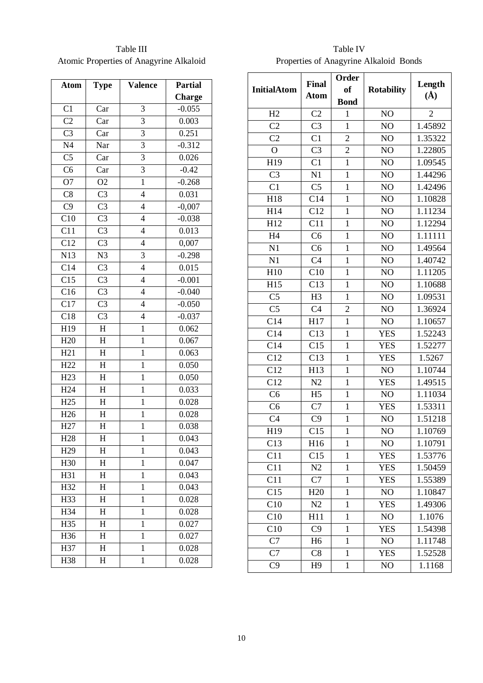Table III Atomic Properties of Anagyrine Alkaloid

| Atom                              | <b>Type</b>                        | Valence                  | <b>Partial</b> |
|-----------------------------------|------------------------------------|--------------------------|----------------|
|                                   |                                    |                          | <b>Charge</b>  |
| C1                                | Car                                | 3                        | $-0.055$       |
| C <sub>2</sub>                    | Car                                | 3                        | 0.003          |
| C <sub>3</sub>                    | Car                                | $\overline{3}$           | 0.251          |
| N <sub>4</sub>                    | Nar                                | 3                        | $-0.312$       |
| $\overline{\text{C5}}$            | Car                                | $\overline{3}$           | 0.026          |
| $\overline{\overline{\text{C6}}}$ | $\overline{C}$ ar                  | $\overline{3}$           | $-0.42$        |
| O7                                | O <sub>2</sub>                     | $\overline{1}$           | $-0.268$       |
| C8                                | C <sub>3</sub>                     | $\overline{4}$           | 0.031          |
| C <sub>9</sub>                    | C <sub>3</sub>                     | $\overline{4}$           | $-0,007$       |
| C10                               | $\overline{C}$                     | $\overline{\mathbf{4}}$  | $-0.038$       |
| C11                               | C <sub>3</sub>                     | 4                        | 0.013          |
| C12                               | C <sub>3</sub>                     | $\overline{4}$           | 0,007          |
| N13                               | N3                                 | 3                        | $-0.298$       |
| $C1\overline{4}$                  | C <sub>3</sub>                     | $\overline{4}$           | 0.015          |
| C15                               | C <sub>3</sub>                     | 4                        | $-0.001$       |
| $\overline{C16}$                  | $\overline{C}$                     | $\overline{\mathbf{4}}$  | $-0.040$       |
| C17                               | C <sub>3</sub>                     | $\overline{\mathcal{L}}$ | $-0.050$       |
| $\overline{C18}$                  | $\overline{C}$                     | $\overline{4}$           | $-0.037$       |
| H19                               | $\boldsymbol{H}$                   | $\mathbf{1}$             | 0.062          |
| H <sub>20</sub>                   | $\overline{H}$                     | $\mathbf{1}$             | 0.067          |
| H21                               | $\mathbf H$                        | $\mathbf{1}$             | 0.063          |
| H <sub>22</sub>                   | $\overline{\overline{\mathbf{H}}}$ | $\mathbf{1}$             | 0.050          |
| H <sub>23</sub>                   | $\boldsymbol{H}$                   | $\mathbf 1$              | 0.050          |
| H <sub>24</sub>                   | $\overline{\mathrm{H}}$            | $\mathbf{1}$             | 0.033          |
| H25                               | H                                  | $\mathbf 1$              | 0.028          |
| H <sub>26</sub>                   | $\overline{\mathrm{H}}$            | $\mathbf{1}$             | 0.028          |
| H <sub>27</sub>                   | H                                  | $\mathbf{1}$             | 0.038          |
| H <sub>28</sub>                   | $\overline{\mathrm{H}}$            | $\mathbf{1}$             | 0.043          |
| H <sub>29</sub>                   | H                                  | $\mathbf{1}$             | 0.043          |
| H <sub>30</sub>                   | $\overline{\mathrm{H}}$            | $\mathbf{1}$             | 0.047          |
| H31                               | H                                  | $\mathbf{1}$             | 0.043          |
| $H\overline{32}$                  | $\overline{\mathrm{H}}$            | $\mathbf{1}$             | 0.043          |
| H33                               | H                                  | $\mathbf 1$              | 0.028          |
| H34                               | $\overline{\mathrm{H}}$            | $\mathbf{1}$             | 0.028          |
| H35                               | H                                  | $\mathbf{1}$             | 0.027          |
| H <sub>36</sub>                   | $\overline{\mathrm{H}}$            | $\mathbf{1}$             | 0.027          |
| H37                               | $\mathbf H$                        | $\mathbf 1$              | 0.028          |
| H38                               | $\overline{\mathrm{H}}$            | $\mathbf{1}$             | 0.028          |

Table IV Properties of Anagyrine Alkaloid Bonds

|                        |                             | Order          |                   |                 |  |
|------------------------|-----------------------------|----------------|-------------------|-----------------|--|
| <b>InitialAtom</b>     | <b>Final</b><br><b>Atom</b> | of             | <b>Rotability</b> | Length          |  |
|                        |                             | <b>Bond</b>    |                   | $\mathring{A})$ |  |
| H2                     | C <sub>2</sub>              | $\mathbf{1}$   | NO                | $\overline{2}$  |  |
| C <sub>2</sub>         | C <sub>3</sub>              | $\mathbf{1}$   | NO                | 1.45892         |  |
| C <sub>2</sub>         | C1                          | $\overline{c}$ | NO                | 1.35322         |  |
| $\overline{O}$         | C <sub>3</sub>              | $\overline{2}$ | NO                | 1.22805         |  |
| H19                    | C1                          | $\mathbf{1}$   | NO                | 1.09545         |  |
| C <sub>3</sub>         | N1                          | $\mathbf{1}$   | NO                | 1.44296         |  |
| C1                     | C <sub>5</sub>              | $\mathbf{1}$   | NO                | 1.42496         |  |
| H18                    | C14                         | $\mathbf{1}$   | NO                | 1.10828         |  |
| H14                    | C12                         | $\mathbf{1}$   | NO                | 1.11234         |  |
| H12                    | C11                         | $\mathbf{1}$   | NO                | 1.12294         |  |
| H <sub>4</sub>         | C <sub>6</sub>              | $\mathbf{1}$   | NO                | 1.11111         |  |
| N1                     | C <sub>6</sub>              | $\mathbf{1}$   | NO                | 1.49564         |  |
| N1                     | C <sub>4</sub>              | $\mathbf{1}$   | NO                | 1.40742         |  |
| H10                    | C10                         | $\mathbf{1}$   | NO                | 1.11205         |  |
| H15                    | C13                         | $\mathbf{1}$   | NO                | 1.10688         |  |
| $\overline{\text{C5}}$ | H <sub>3</sub>              | $\mathbf 1$    | NO                | 1.09531         |  |
| C <sub>5</sub>         | C <sub>4</sub>              | $\overline{2}$ | NO                | 1.36924         |  |
| $\overline{C14}$       | H17                         | $\mathbf{1}$   | NO                | 1.10657         |  |
| C14                    | C13                         | $\mathbf{1}$   | <b>YES</b>        | 1.52243         |  |
| C14                    | C15                         | $\mathbf{1}$   | <b>YES</b>        | 1.52277         |  |
| C12                    | C13                         | $\mathbf{1}$   | <b>YES</b>        | 1.5267          |  |
| $\overline{C12}$       | H13                         | $\mathbf{1}$   | NO                | 1.10744         |  |
| C12                    | N2                          | $\mathbf{1}$   | <b>YES</b>        | 1.49515         |  |
| C <sub>6</sub>         | H <sub>5</sub>              | $\mathbf{1}$   | NO                | 1.11034         |  |
| C6                     | C7                          | $\mathbf{1}$   | <b>YES</b>        | 1.53311         |  |
| $\overline{C4}$        | C <sub>9</sub>              | $\mathbf{1}$   | N <sub>O</sub>    | 1.51218         |  |
| H19                    | C15                         | $\mathbf{1}$   | NO                | 1.10769         |  |
| C13                    | H16                         | $\mathbf{1}$   | NO                | 1.10791         |  |
| C11                    | C15                         | 1              | <b>YES</b>        | 1.53776         |  |
| C11                    | N2                          | $\mathbf{1}$   | <b>YES</b>        | 1.50459         |  |
| C11                    | C7                          | 1              | <b>YES</b>        | 1.55389         |  |
| C15                    | H <sub>20</sub>             | $\mathbf{1}$   | N <sub>O</sub>    | 1.10847         |  |
| C10                    | N2                          | 1              | <b>YES</b>        | 1.49306         |  |
| C10                    | H11                         | $\mathbf{1}$   | NO                | 1.1076          |  |
| C10                    | C9                          | 1              | <b>YES</b>        | 1.54398         |  |
| C7                     | H <sub>6</sub>              | $\mathbf{1}$   | NO                | 1.11748         |  |
| C7                     | C8                          | $\mathbf{1}$   | <b>YES</b>        | 1.52528         |  |
| C9                     | H <sub>9</sub>              | $\mathbf{1}$   | N <sub>O</sub>    | 1.1168          |  |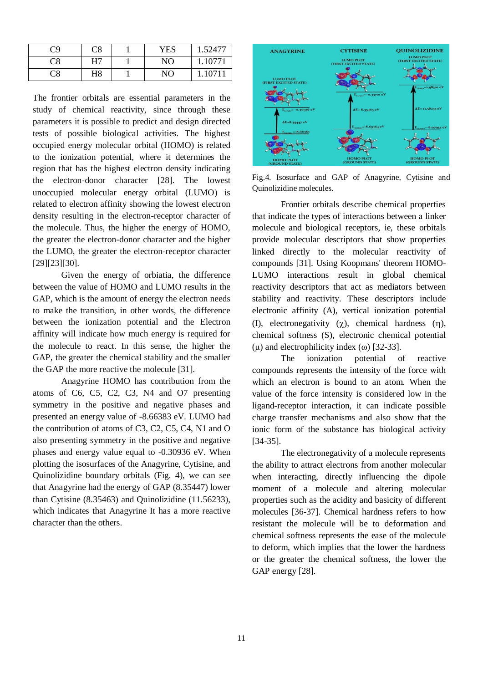| C9 | C8 | <b>YES</b> | 1.52477 |
|----|----|------------|---------|
| C8 | Η7 | NO         | .10771  |
| Σ8 | H8 | NO         | 10711   |

The frontier orbitals are essential parameters in the study of chemical reactivity, since through these parameters it is possible to predict and design directed tests of possible biological activities. The highest occupied energy molecular orbital (HOMO) is related to the ionization potential, where it determines the region that has the highest electron density indicating the electron-donor character [28]. The lowest unoccupied molecular energy orbital (LUMO) is related to electron affinity showing the lowest electron density resulting in the electron-receptor character of the molecule. Thus, the higher the energy of HOMO, the greater the electron-donor character and the higher the LUMO, the greater the electron-receptor character [29][23][30].

Given the energy of orbiatia, the difference between the value of HOMO and LUMO results in the GAP, which is the amount of energy the electron needs to make the transition, in other words, the difference between the ionization potential and the Electron affinity will indicate how much energy is required for the molecule to react. In this sense, the higher the GAP, the greater the chemical stability and the smaller the GAP the more reactive the molecule [31].

Anagyrine HOMO has contribution from the atoms of C6, C5, C2, C3, N4 and O7 presenting symmetry in the positive and negative phases and presented an energy value of -8.66383 eV. LUMO had the contribution of atoms of C3, C2, C5, C4, N1 and O also presenting symmetry in the positive and negative phases and energy value equal to -0.30936 eV. When plotting the isosurfaces of the Anagyrine, Cytisine, and Quinolizidine boundary orbitals (Fig. 4), we can see that Anagyrine had the energy of GAP (8.35447) lower than Cytisine (8.35463) and Quinolizidine (11.56233), which indicates that Anagyrine It has a more reactive character than the others.



Fig.4. Isosurface and GAP of Anagyrine, Cytisine and Quinolizidine molecules.

Frontier orbitals describe chemical properties that indicate the types of interactions between a linker molecule and biological receptors, ie, these orbitals provide molecular descriptors that show properties linked directly to the molecular reactivity of compounds [31]. Using Koopmans' theorem HOMO-LUMO interactions result in global chemical reactivity descriptors that act as mediators between stability and reactivity. These descriptors include electronic affinity (A), vertical ionization potential (I), electronegativity  $(\gamma)$ , chemical hardness  $(\eta)$ , chemical softness (S), electronic chemical potential (μ) and electrophilicity index (ω) [32-33].

The ionization potential of reactive compounds represents the intensity of the force with which an electron is bound to an atom. When the value of the force intensity is considered low in the ligand-receptor interaction, it can indicate possible charge transfer mechanisms and also show that the ionic form of the substance has biological activity [34-35].

The electronegativity of a molecule represents the ability to attract electrons from another molecular when interacting, directly influencing the dipole moment of a molecule and altering molecular properties such as the acidity and basicity of different molecules [36-37]. Chemical hardness refers to how resistant the molecule will be to deformation and chemical softness represents the ease of the molecule to deform, which implies that the lower the hardness or the greater the chemical softness, the lower the GAP energy [28].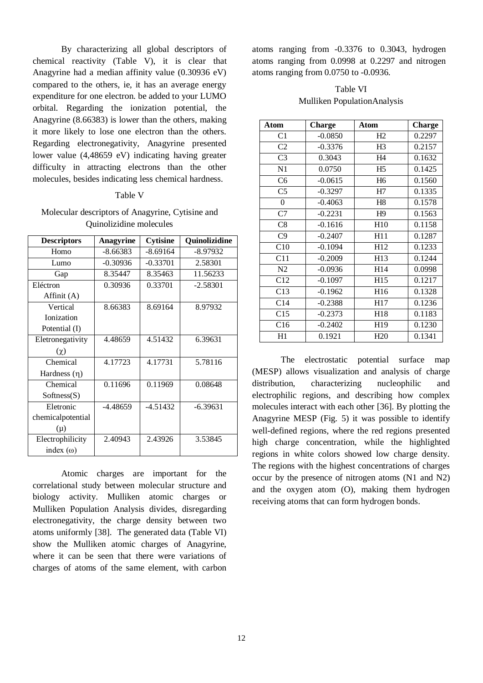By characterizing all global descriptors of chemical reactivity (Table V), it is clear that Anagyrine had a median affinity value (0.30936 eV) compared to the others, ie, it has an average energy expenditure for one electron. be added to your LUMO orbital. Regarding the ionization potential, the Anagyrine (8.66383) is lower than the others, making it more likely to lose one electron than the others. Regarding electronegativity, Anagyrine presented lower value (4,48659 eV) indicating having greater difficulty in attracting electrons than the other molecules, besides indicating less chemical hardness.

## Table V

Molecular descriptors of Anagyrine, Cytisine and Quinolizidine molecules

| <b>Descriptors</b> | <b>Anagyrine</b> | <b>Cytisine</b> | Quinolizidine |
|--------------------|------------------|-----------------|---------------|
| Homo               | -8.66383         | $-8.69164$      | -8.97932      |
| Lumo               | $-0.30936$       | $-0.33701$      | 2.58301       |
| Gap                | 8.35447          | 8.35463         | 11.56233      |
| Eléctron           | 0.30936          | 0.33701         | $-2.58301$    |
| Affinit (A)        |                  |                 |               |
| Vertical           | 8.66383          | 8.69164         | 8.97932       |
| Ionization         |                  |                 |               |
| Potential (I)      |                  |                 |               |
| Eletronegativity   | 4.48659          | 4.51432         | 6.39631       |
| $(\chi)$           |                  |                 |               |
| Chemical           | 4.17723          | 4.17731         | 5.78116       |
| Hardness $(\eta)$  |                  |                 |               |
| Chemical           | 0.11696          | 0.11969         | 0.08648       |
| Softness(S)        |                  |                 |               |
| Eletronic          | $-4.48659$       | $-4.51432$      | $-6.39631$    |
| chemicalpotential  |                  |                 |               |
| $(\mu)$            |                  |                 |               |
| Electrophilicity   | 2.40943          | 2.43926         | 3.53845       |
| index $(\omega)$   |                  |                 |               |

Atomic charges are important for the correlational study between molecular structure and biology activity. Mulliken atomic charges or Mulliken Population Analysis divides, disregarding electronegativity, the charge density between two atoms uniformly [38]. The generated data (Table VI) show the Mulliken atomic charges of Anagyrine, where it can be seen that there were variations of charges of atoms of the same element, with carbon

atoms ranging from -0.3376 to 0.3043, hydrogen atoms ranging from 0.0998 at 0.2297 and nitrogen atoms ranging from 0.0750 to -0.0936.

Table VI Mulliken PopulationAnalysis

| Atom             | <b>Charge</b> | Atom            | <b>Charge</b> |
|------------------|---------------|-----------------|---------------|
| C <sub>1</sub>   | $-0.0850$     | H2              | 0.2297        |
| C <sub>2</sub>   | $-0.3376$     | H <sub>3</sub>  | 0.2157        |
| C <sub>3</sub>   | 0.3043        | H <sub>4</sub>  | 0.1632        |
| N1               | 0.0750        | H <sub>5</sub>  | 0.1425        |
| C <sub>6</sub>   | $-0.0615$     | H <sub>6</sub>  | 0.1560        |
| C <sub>5</sub>   | $-0.3297$     | H7              | 0.1335        |
| $\boldsymbol{0}$ | $-0.4063$     | H <sub>8</sub>  | 0.1578        |
| C7               | $-0.2231$     | H <sup>9</sup>  | 0.1563        |
| C8               | $-0.1616$     | H10             | 0.1158        |
| C9               | $-0.2407$     | H11             | 0.1287        |
| C10              | $-0.1094$     | H12             | 0.1233        |
| C11              | $-0.2009$     | H13             | 0.1244        |
| N2               | $-0.0936$     | H14             | 0.0998        |
| C12              | $-0.1097$     | H15             | 0.1217        |
| C13              | $-0.1962$     | H16             | 0.1328        |
| C14              | $-0.2388$     | H17             | 0.1236        |
| C15              | $-0.2373$     | H <sub>18</sub> | 0.1183        |
| C16              | $-0.2402$     | H <sub>19</sub> | 0.1230        |
| H1               | 0.1921        | H <sub>20</sub> | 0.1341        |

The electrostatic potential surface map (MESP) allows visualization and analysis of charge distribution, characterizing nucleophilic and electrophilic regions, and describing how complex molecules interact with each other [36]. By plotting the Anagyrine MESP (Fig. 5) it was possible to identify well-defined regions, where the red regions presented high charge concentration, while the highlighted regions in white colors showed low charge density. The regions with the highest concentrations of charges occur by the presence of nitrogen atoms (N1 and N2) and the oxygen atom (O), making them hydrogen receiving atoms that can form hydrogen bonds.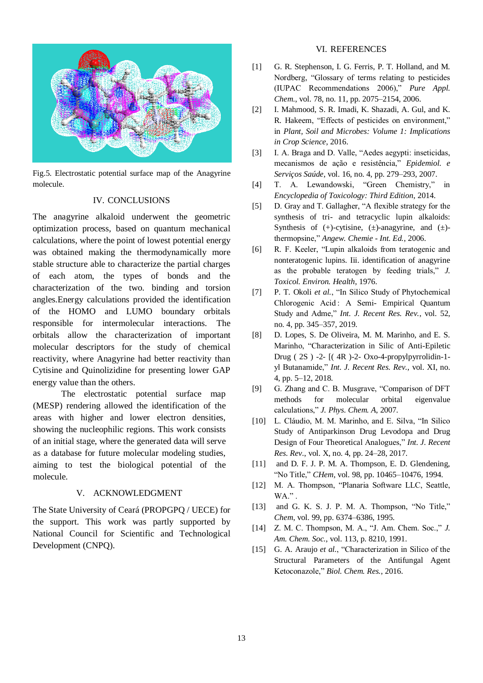

Fig.5. Electrostatic potential surface map of the Anagyrine molecule.

## IV. CONCLUSIONS

The anagyrine alkaloid underwent the geometric optimization process, based on quantum mechanical calculations, where the point of lowest potential energy was obtained making the thermodynamically more stable structure able to characterize the partial charges of each atom, the types of bonds and the characterization of the two. binding and torsion angles.Energy calculations provided the identification of the HOMO and LUMO boundary orbitals responsible for intermolecular interactions. The orbitals allow the characterization of important molecular descriptors for the study of chemical reactivity, where Anagyrine had better reactivity than Cytisine and Quinolizidine for presenting lower GAP energy value than the others.

The electrostatic potential surface map (MESP) rendering allowed the identification of the areas with higher and lower electron densities, showing the nucleophilic regions. This work consists of an initial stage, where the generated data will serve as a database for future molecular modeling studies, aiming to test the biological potential of the molecule.

## V. ACKNOWLEDGMENT

The State University of Ceará (PROPGPQ / UECE) for the support. This work was partly supported by National Council for Scientific and Technological Development (CNPQ).

## VI. REFERENCES

- [1] G. R. Stephenson, I. G. Ferris, P. T. Holland, and M. Nordberg, "Glossary of terms relating to pesticides (IUPAC Recommendations 2006)," *Pure Appl. Chem.*, vol. 78, no. 11, pp. 2075–2154, 2006.
- [2] I. Mahmood, S. R. Imadi, K. Shazadi, A. Gul, and K. R. Hakeem, "Effects of pesticides on environment," in *Plant, Soil and Microbes: Volume 1: Implications in Crop Science*, 2016.
- [3] I. A. Braga and D. Valle, "Aedes aegypti: inseticidas, mecanismos de ação e resistência," *Epidemiol. e Serviços Saúde*, vol. 16, no. 4, pp. 279–293, 2007.
- [4] T. A. Lewandowski, "Green Chemistry," in *Encyclopedia of Toxicology: Third Edition*, 2014.
- [5] D. Gray and T. Gallagher, "A flexible strategy for the synthesis of tri- and tetracyclic lupin alkaloids: Synthesis of  $(+)$ -cytisine,  $(\pm)$ -anagyrine, and  $(\pm)$ thermopsine," *Angew. Chemie - Int. Ed.*, 2006.
- [6] R. F. Keeler, "Lupin alkaloids from teratogenic and nonteratogenic lupins. Iii. identification of anagyrine as the probable teratogen by feeding trials," *J. Toxicol. Environ. Health*, 1976.
- [7] P. T. Okoli *et al.*, "In Silico Study of Phytochemical Chlorogenic Acid : A Semi- Empirical Quantum Study and Adme," *Int. J. Recent Res. Rev.*, vol. 52, no. 4, pp. 345–357, 2019.
- [8] D. Lopes, S. De Oliveira, M. M. Marinho, and E. S. Marinho, "Characterization in Silic of Anti-Epiletic Drug ( 2S ) -2- [( 4R )-2- Oxo-4-propylpyrrolidin-1 yl Butanamide," *Int. J. Recent Res. Rev.*, vol. XI, no. 4, pp. 5–12, 2018.
- [9] G. Zhang and C. B. Musgrave, "Comparison of DFT methods for molecular orbital eigenvalue calculations," *J. Phys. Chem. A*, 2007.
- [10] L. Cláudio, M. M. Marinho, and E. Silva, "In Silico Study of Antiparkinson Drug Levodopa and Drug Design of Four Theoretical Analogues," *Int. J. Recent Res. Rev.*, vol. X, no. 4, pp. 24–28, 2017.
- [11] and D. F. J. P. M. A. Thompson, E. D. Glendening, "No Title," *CHem*, vol. 98, pp. 10465–10476, 1994.
- [12] M. A. Thompson, "Planaria Software LLC, Seattle, WA." .
- [13] and G. K. S. J. P. M. A. Thompson, "No Title," *Chem*, vol. 99, pp. 6374–6386, 1995.
- [14] Z. M. C. Thompson, M. A., "J. Am. Chem. Soc.," *J. Am. Chem. Soc.*, vol. 113, p. 8210, 1991.
- [15] G. A. Araujo *et al.*, "Characterization in Silico of the Structural Parameters of the Antifungal Agent Ketoconazole," *Biol. Chem. Res.*, 2016.